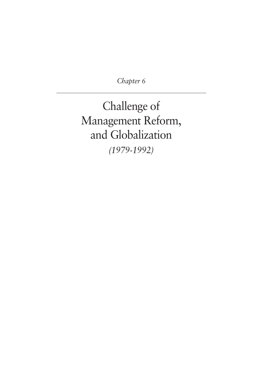*Chapter 6*

Challenge of Management Reform, and Globalization *(1979-1992)*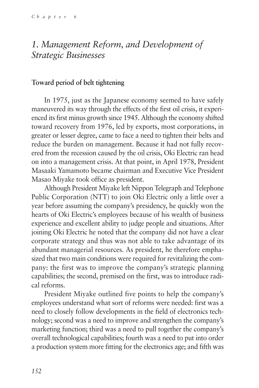## *1. Management Reform, and Development of Strategic Businesses*

### **Toward period of belt tightening**

In 1975, just as the Japanese economy seemed to have safely maneuvered its way through the effects of the first oil crisis, it experienced its first minus growth since 1945. Although the economy shifted toward recovery from 1976, led by exports, most corporations, in greater or lesser degree, came to face a need to tighten their belts and reduce the burden on management. Because it had not fully recovered from the recession caused by the oil crisis, Oki Electric ran head on into a management crisis. At that point, in April 1978, President Masaaki Yamamoto became chairman and Executive Vice President Masao Miyake took office as president.

Although President Miyake left Nippon Telegraph and Telephone Public Corporation (NTT) to join Oki Electric only a little over a year before assuming the company's presidency, he quickly won the hearts of Oki Electric's employees because of his wealth of business experience and excellent ability to judge people and situations. After joining Oki Electric he noted that the company did not have a clear corporate strategy and thus was not able to take advantage of its abundant managerial resources. As president, he therefore emphasized that two main conditions were required for revitalizing the company: the first was to improve the company's strategic planning capabilities; the second, premised on the first, was to introduce radical reforms.

President Miyake outlined five points to help the company's employees understand what sort of reforms were needed: first was a need to closely follow developments in the field of electronics technology; second was a need to improve and strengthen the company's marketing function; third was a need to pull together the company's overall technological capabilities; fourth was a need to put into order a production system more fitting for the electronics age; and fifth was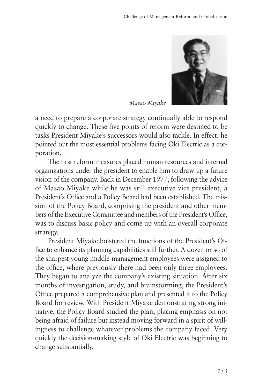

*Masao Miyake*

a need to prepare a corporate strategy continually able to respond quickly to change. These five points of reform were destined to be tasks President Miyake's successors would also tackle. In effect, he pointed out the most essential problems facing Oki Electric as a corporation.

The first reform measures placed human resources and internal organizations under the president to enable him to draw up a future vision of the company. Back in December 1977, following the advice of Masao Miyake while he was still executive vice president, a President's Office and a Policy Board had been established. The mission of the Policy Board, comprising the president and other members of the Executive Committee and members of the President's Office, was to discuss basic policy and come up with an overall corporate strategy.

President Miyake bolstered the functions of the President's Office to enhance its planning capabilities still further. A dozen or so of the sharpest young middle-management employees were assigned to the office, where previously there had been only three employees. They began to analyze the company's existing situation. After six months of investigation, study, and brainstorming, the President's Office prepared a comprehensive plan and presented it to the Policy Board for review. With President Miyake demonstrating strong initiative, the Policy Board studied the plan, placing emphasis on not being afraid of failure but instead moving forward in a spirit of willingness to challenge whatever problems the company faced. Very quickly the decision-making style of Oki Electric was beginning to change substantially.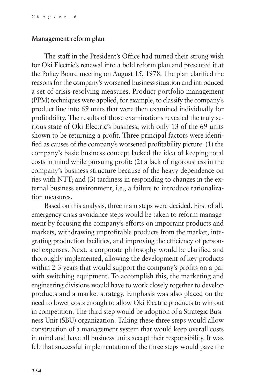#### **Management reform plan**

The staff in the President's Office had turned their strong wish for Oki Electric's renewal into a bold reform plan and presented it at the Policy Board meeting on August 15, 1978. The plan clarified the reasons for the company's worsened business situation and introduced a set of crisis-resolving measures. Product portfolio management (PPM) techniques were applied, for example, to classify the company's product line into 69 units that were then examined individually for profitability. The results of those examinations revealed the truly serious state of Oki Electric's business, with only 13 of the 69 units shown to be returning a profit. Three principal factors were identified as causes of the company's worsened profitability picture: (1) the company's basic business concept lacked the idea of keeping total costs in mind while pursuing profit; (2) a lack of rigorousness in the company's business structure because of the heavy dependence on ties with NTT; and (3) tardiness in responding to changes in the external business environment, i.e., a failure to introduce rationalization measures.

Based on this analysis, three main steps were decided. First of all, emergency crisis avoidance steps would be taken to reform management by focusing the company's efforts on important products and markets, withdrawing unprofitable products from the market, integrating production facilities, and improving the efficiency of personnel expenses. Next, a corporate philosophy would be clarified and thoroughly implemented, allowing the development of key products within 2-3 years that would support the company's profits on a par with switching equipment. To accomplish this, the marketing and engineering divisions would have to work closely together to develop products and a market strategy. Emphasis was also placed on the need to lower costs enough to allow Oki Electric products to win out in competition. The third step would be adoption of a Strategic Business Unit (SBU) organization. Taking these three steps would allow construction of a management system that would keep overall costs in mind and have all business units accept their responsibility. It was felt that successful implementation of the three steps would pave the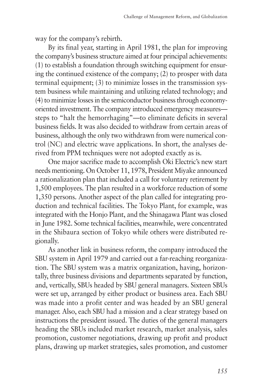way for the company's rebirth.

By its final year, starting in April 1981, the plan for improving the company's business structure aimed at four principal achievements: (1) to establish a foundation through switching equipment for ensuring the continued existence of the company; (2) to prosper with data terminal equipment; (3) to minimize losses in the transmission system business while maintaining and utilizing related technology; and (4) to minimize losses in the semiconductor business through economyoriented investment. The company introduced emergency measures steps to "halt the hemorrhaging"—to eliminate deficits in several business fields. It was also decided to withdraw from certain areas of business, although the only two withdrawn from were numerical control (NC) and electric wave applications. In short, the analyses derived from PPM techniques were not adopted exactly as is.

One major sacrifice made to accomplish Oki Electric's new start needs mentioning. On October 11, 1978, President Miyake announced a rationalization plan that included a call for voluntary retirement by 1,500 employees. The plan resulted in a workforce reduction of some 1,350 persons. Another aspect of the plan called for integrating production and technical facilities. The Tokyo Plant, for example, was integrated with the Honjo Plant, and the Shinagawa Plant was closed in June 1982. Some technical facilities, meanwhile, were concentrated in the Shibaura section of Tokyo while others were distributed regionally.

As another link in business reform, the company introduced the SBU system in April 1979 and carried out a far-reaching reorganization. The SBU system was a matrix organization, having, horizontally, three business divisions and departments separated by function, and, vertically, SBUs headed by SBU general managers. Sixteen SBUs were set up, arranged by either product or business area. Each SBU was made into a profit center and was headed by an SBU general manager. Also, each SBU had a mission and a clear strategy based on instructions the president issued. The duties of the general managers heading the SBUs included market research, market analysis, sales promotion, customer negotiations, drawing up profit and product plans, drawing up market strategies, sales promotion, and customer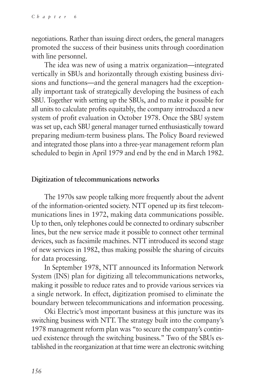negotiations. Rather than issuing direct orders, the general managers promoted the success of their business units through coordination with line personnel.

The idea was new of using a matrix organization—integrated vertically in SBUs and horizontally through existing business divisions and functions—and the general managers had the exceptionally important task of strategically developing the business of each SBU. Together with setting up the SBUs, and to make it possible for all units to calculate profits equitably, the company introduced a new system of profit evaluation in October 1978. Once the SBU system was set up, each SBU general manager turned enthusiastically toward preparing medium-term business plans. The Policy Board reviewed and integrated those plans into a three-year management reform plan scheduled to begin in April 1979 and end by the end in March 1982.

### **Digitization of telecommunications networks**

The 1970s saw people talking more frequently about the advent of the information-oriented society. NTT opened up its first telecommunications lines in 1972, making data communications possible. Up to then, only telephones could be connected to ordinary subscriber lines, but the new service made it possible to connect other terminal devices, such as facsimile machines. NTT introduced its second stage of new services in 1982, thus making possible the sharing of circuits for data processing.

In September 1978, NTT announced its Information Network System (INS) plan for digitizing all telecommunications networks, making it possible to reduce rates and to provide various services via a single network. In effect, digitization promised to eliminate the boundary between telecommunications and information processing.

Oki Electric's most important business at this juncture was its switching business with NTT. The strategy built into the company's 1978 management reform plan was "to secure the company's continued existence through the switching business." Two of the SBUs established in the reorganization at that time were an electronic switching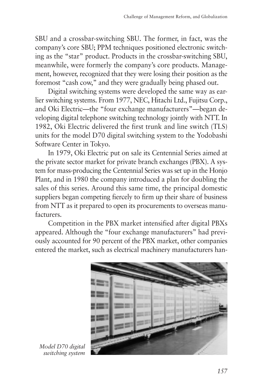SBU and a crossbar-switching SBU. The former, in fact, was the company's core SBU; PPM techniques positioned electronic switching as the "star" product. Products in the crossbar-switching SBU, meanwhile, were formerly the company's core products. Management, however, recognized that they were losing their position as the foremost "cash cow," and they were gradually being phased out.

Digital switching systems were developed the same way as earlier switching systems. From 1977, NEC, Hitachi Ltd., Fujitsu Corp., and Oki Electric—the "four exchange manufacturers"—began developing digital telephone switching technology jointly with NTT. In 1982, Oki Electric delivered the first trunk and line switch (TLS) units for the model D70 digital switching system to the Yodobashi Software Center in Tokyo.

In 1979, Oki Electric put on sale its Centennial Series aimed at the private sector market for private branch exchanges (PBX). A system for mass-producing the Centennial Series was set up in the Honjo Plant, and in 1980 the company introduced a plan for doubling the sales of this series. Around this same time, the principal domestic suppliers began competing fiercely to firm up their share of business from NTT as it prepared to open its procurements to overseas manufacturers.

Competition in the PBX market intensified after digital PBXs appeared. Although the "four exchange manufacturers" had previously accounted for 90 percent of the PBX market, other companies entered the market, such as electrical machinery manufacturers han-



*Model D70 digital switching system*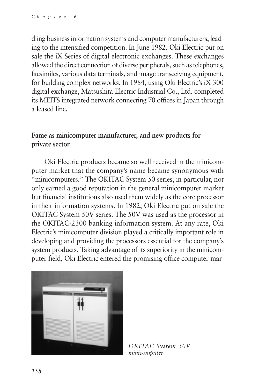dling business information systems and computer manufacturers, leading to the intensified competition. In June 1982, Oki Electric put on sale the iX Series of digital electronic exchanges. These exchanges allowed the direct connection of diverse peripherals, such as telephones, facsimiles, various data terminals, and image transceiving equipment, for building complex networks. In 1984, using Oki Electric's iX 300 digital exchange, Matsushita Electric Industrial Co., Ltd. completed its MEITS integrated network connecting 70 offices in Japan through a leased line.

## **Fame as minicomputer manufacturer, and new products for private sector**

Oki Electric products became so well received in the minicomputer market that the company's name became synonymous with "minicomputers." The OKITAC System 50 series, in particular, not only earned a good reputation in the general minicomputer market but financial institutions also used them widely as the core processor in their information systems. In 1982, Oki Electric put on sale the OKITAC System 50V series. The 50V was used as the processor in the OKITAC-2300 banking information system. At any rate, Oki Electric's minicomputer division played a critically important role in developing and providing the processors essential for the company's system products. Taking advantage of its superiority in the minicomputer field, Oki Electric entered the promising office computer mar-



*OKITAC System 50V minicomputer*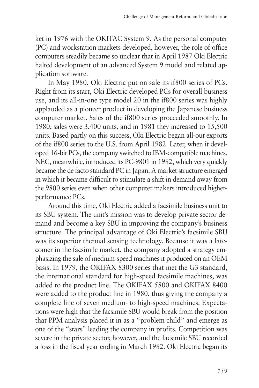ket in 1976 with the OKITAC System 9. As the personal computer (PC) and workstation markets developed, however, the role of office computers steadily became so unclear that in April 1987 Oki Electric halted development of an advanced System 9 model and related application software.

In May 1980, Oki Electric put on sale its if800 series of PCs. Right from its start, Oki Electric developed PCs for overall business use, and its all-in-one type model 20 in the if800 series was highly applauded as a pioneer product in developing the Japanese business computer market. Sales of the if800 series proceeded smoothly. In 1980, sales were 3,400 units, and in 1981 they increased to 15,500 units. Based partly on this success, Oki Electric began all-out exports of the if800 series to the U.S. from April 1982. Later, when it developed 16-bit PCs, the company switched to IBM-compatible machines. NEC, meanwhile, introduced its PC-9801 in 1982, which very quickly became the de facto standard PC in Japan. A market structure emerged in which it became difficult to stimulate a shift in demand away from the 9800 series even when other computer makers introduced higherperformance PCs.

Around this time, Oki Electric added a facsimile business unit to its SBU system. The unit's mission was to develop private sector demand and become a key SBU in improving the company's business structure. The principal advantage of Oki Electric's facsimile SBU was its superior thermal sensing technology. Because it was a latecomer in the facsimile market, the company adopted a strategy emphasizing the sale of medium-speed machines it produced on an OEM basis. In 1979, the OKIFAX 8300 series that met the G3 standard, the international standard for high-speed facsimile machines, was added to the product line. The OKIFAX 5800 and OKIFAX 8400 were added to the product line in 1980, thus giving the company a complete line of seven medium- to high-speed machines. Expectations were high that the facsimile SBU would break from the position that PPM analysis placed it in as a "problem child" and emerge as one of the "stars" leading the company in profits. Competition was severe in the private sector, however, and the facsimile SBU recorded a loss in the fiscal year ending in March 1982. Oki Electric began its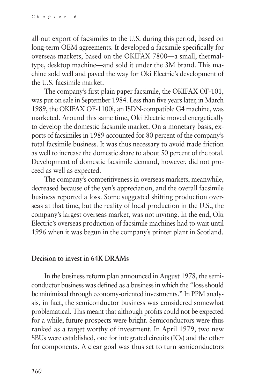all-out export of facsimiles to the U.S. during this period, based on long-term OEM agreements. It developed a facsimile specifically for overseas markets, based on the OKIFAX 7800—a small, thermaltype, desktop machine—and sold it under the 3M brand. This machine sold well and paved the way for Oki Electric's development of the U.S. facsimile market.

The company's first plain paper facsimile, the OKIFAX OF-101, was put on sale in September 1984. Less than five years later, in March 1989, the OKIFAX OF-1100i, an ISDN-compatible G4 machine, was marketed. Around this same time, Oki Electric moved energetically to develop the domestic facsimile market. On a monetary basis, exports of facsimiles in 1989 accounted for 80 percent of the company's total facsimile business. It was thus necessary to avoid trade friction as well to increase the domestic share to about 50 percent of the total. Development of domestic facsimile demand, however, did not proceed as well as expected.

The company's competitiveness in overseas markets, meanwhile, decreased because of the yen's appreciation, and the overall facsimile business reported a loss. Some suggested shifting production overseas at that time, but the reality of local production in the U.S., the company's largest overseas market, was not inviting. In the end, Oki Electric's overseas production of facsimile machines had to wait until 1996 when it was begun in the company's printer plant in Scotland.

#### **Decision to invest in 64K DRAMs**

In the business reform plan announced in August 1978, the semiconductor business was defined as a business in which the "loss should be minimized through economy-oriented investments." In PPM analysis, in fact, the semiconductor business was considered somewhat problematical. This meant that although profits could not be expected for a while, future prospects were bright. Semiconductors were thus ranked as a target worthy of investment. In April 1979, two new SBUs were established, one for integrated circuits (ICs) and the other for components. A clear goal was thus set to turn semiconductors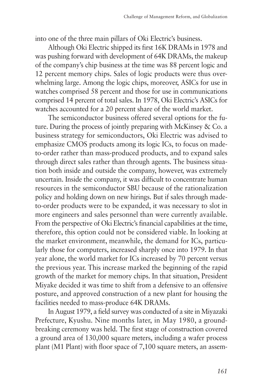into one of the three main pillars of Oki Electric's business.

Although Oki Electric shipped its first 16K DRAMs in 1978 and was pushing forward with development of 64K DRAMs, the makeup of the company's chip business at the time was 88 percent logic and 12 percent memory chips. Sales of logic products were thus overwhelming large. Among the logic chips, moreover, ASICs for use in watches comprised 58 percent and those for use in communications comprised 14 percent of total sales. In 1978, Oki Electric's ASICs for watches accounted for a 20 percent share of the world market.

The semiconductor business offered several options for the future. During the process of jointly preparing with McKinsey & Co. a business strategy for semiconductors, Oki Electric was advised to emphasize CMOS products among its logic ICs, to focus on madeto-order rather than mass-produced products, and to expand sales through direct sales rather than through agents. The business situation both inside and outside the company, however, was extremely uncertain. Inside the company, it was difficult to concentrate human resources in the semiconductor SBU because of the rationalization policy and holding down on new hirings. But if sales through madeto-order products were to be expanded, it was necessary to slot in more engineers and sales personnel than were currently available. From the perspective of Oki Electric's financial capabilities at the time, therefore, this option could not be considered viable. In looking at the market environment, meanwhile, the demand for ICs, particularly those for computers, increased sharply once into 1979. In that year alone, the world market for ICs increased by 70 percent versus the previous year. This increase marked the beginning of the rapid growth of the market for memory chips. In that situation, President Miyake decided it was time to shift from a defensive to an offensive posture, and approved construction of a new plant for housing the facilities needed to mass-produce 64K DRAMs.

In August 1979, a field survey was conducted of a site in Miyazaki Prefecture, Kyushu. Nine months later, in May 1980, a groundbreaking ceremony was held. The first stage of construction covered a ground area of 130,000 square meters, including a wafer process plant (M1 Plant) with floor space of 7,100 square meters, an assem-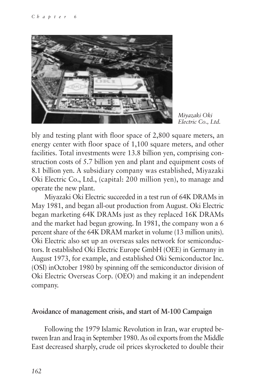

*Miyazaki Oki Electric Co., Ltd.*

bly and testing plant with floor space of 2,800 square meters, an energy center with floor space of 1,100 square meters, and other facilities. Total investments were 13.8 billion yen, comprising construction costs of 5.7 billion yen and plant and equipment costs of 8.1 billion yen. A subsidiary company was established, Miyazaki Oki Electric Co., Ltd., (capital: 200 million yen), to manage and operate the new plant.

Miyazaki Oki Electric succeeded in a test run of 64K DRAMs in May 1981, and began all-out production from August. Oki Electric began marketing 64K DRAMs just as they replaced 16K DRAMs and the market had begun growing. In 1981, the company won a 6 percent share of the 64K DRAM market in volume (13 million units). Oki Electric also set up an overseas sales network for semiconductors. It established Oki Electric Europe GmbH (OEE) in Germany in August 1973, for example, and established Oki Semiconductor Inc. (OSI) inOctober 1980 by spinning off the semiconductor division of Oki Electric Overseas Corp. (OEO) and making it an independent company.

#### **Avoidance of management crisis, and start of M-100 Campaign**

Following the 1979 Islamic Revolution in Iran, war erupted between Iran and Iraq in September 1980. As oil exports from the Middle East decreased sharply, crude oil prices skyrocketed to double their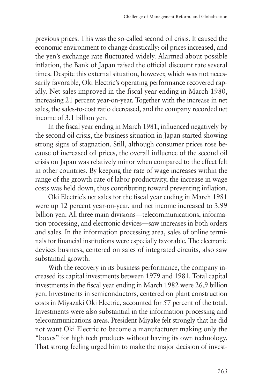previous prices. This was the so-called second oil crisis. It caused the economic environment to change drastically: oil prices increased, and the yen's exchange rate fluctuated widely. Alarmed about possible inflation, the Bank of Japan raised the official discount rate several times. Despite this external situation, however, which was not necessarily favorable, Oki Electric's operating performance recovered rapidly. Net sales improved in the fiscal year ending in March 1980, increasing 21 percent year-on-year. Together with the increase in net sales, the sales-to-cost ratio decreased, and the company recorded net income of 3.1 billion yen.

In the fiscal year ending in March 1981, influenced negatively by the second oil crisis, the business situation in Japan started showing strong signs of stagnation. Still, although consumer prices rose because of increased oil prices, the overall influence of the second oil crisis on Japan was relatively minor when compared to the effect felt in other countries. By keeping the rate of wage increases within the range of the growth rate of labor productivity, the increase in wage costs was held down, thus contributing toward preventing inflation.

Oki Electric's net sales for the fiscal year ending in March 1981 were up 12 percent year-on-year, and net income increased to 3.99 billion yen. All three main divisions—telecommunications, information processing, and electronic devices—saw increases in both orders and sales. In the information processing area, sales of online terminals for financial institutions were especially favorable. The electronic devices business, centered on sales of integrated circuits, also saw substantial growth.

With the recovery in its business performance, the company increased its capital investments between 1979 and 1981. Total capital investments in the fiscal year ending in March 1982 were 26.9 billion yen. Investments in semiconductors, centered on plant construction costs in Miyazaki Oki Electric, accounted for 57 percent of the total. Investments were also substantial in the information processing and telecommunications areas. President Miyake felt strongly that he did not want Oki Electric to become a manufacturer making only the "boxes" for high tech products without having its own technology. That strong feeling urged him to make the major decision of invest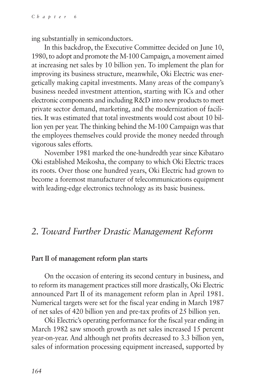ing substantially in semiconductors.

In this backdrop, the Executive Committee decided on June 10, 1980, to adopt and promote the M-100 Campaign, a movement aimed at increasing net sales by 10 billion yen. To implement the plan for improving its business structure, meanwhile, Oki Electric was energetically making capital investments. Many areas of the company's business needed investment attention, starting with ICs and other electronic components and including R&D into new products to meet private sector demand, marketing, and the modernization of facilities. It was estimated that total investments would cost about 10 billion yen per year. The thinking behind the M-100 Campaign was that the employees themselves could provide the money needed through vigorous sales efforts.

November 1981 marked the one-hundredth year since Kibataro Oki established Meikosha, the company to which Oki Electric traces its roots. Over those one hundred years, Oki Electric had grown to become a foremost manufacturer of telecommunications equipment with leading-edge electronics technology as its basic business.

## *2. Toward Further Drastic Management Reform*

#### **Part II of management reform plan starts**

On the occasion of entering its second century in business, and to reform its management practices still more drastically, Oki Electric announced Part II of its management reform plan in April 1981. Numerical targets were set for the fiscal year ending in March 1987 of net sales of 420 billion yen and pre-tax profits of 25 billion yen.

Oki Electric's operating performance for the fiscal year ending in March 1982 saw smooth growth as net sales increased 15 percent year-on-year. And although net profits decreased to 3.3 billion yen, sales of information processing equipment increased, supported by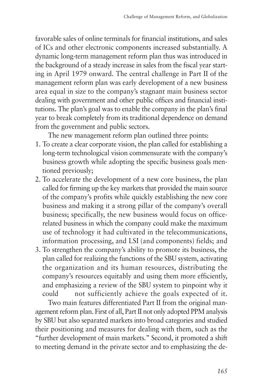favorable sales of online terminals for financial institutions, and sales of ICs and other electronic components increased substantially. A dynamic long-term management reform plan thus was introduced in the background of a steady increase in sales from the fiscal year starting in April 1979 onward. The central challenge in Part II of the management reform plan was early development of a new business area equal in size to the company's stagnant main business sector dealing with government and other public offices and financial institutions. The plan's goal was to enable the company in the plan's final year to break completely from its traditional dependence on demand from the government and public sectors.

The new management reform plan outlined three points:

- 1. To create a clear corporate vision, the plan called for establishing a long-term technological vision commensurate with the company's business growth while adopting the specific business goals mentioned previously;
- 2. To accelerate the development of a new core business, the plan called for firming up the key markets that provided the main source of the company's profits while quickly establishing the new core business and making it a strong pillar of the company's overall business; specifically, the new business would focus on officerelated business in which the company could make the maximum use of technology it had cultivated in the telecommunications, information processing, and LSI (and components) fields; and
- 3. To strengthen the company's ability to promote its business, the plan called for realizing the functions of the SBU system, activating the organization and its human resources, distributing the company's resources equitably and using them more efficiently, and emphasizing a review of the SBU system to pinpoint why it could not sufficiently achieve the goals expected of it.

Two main features differentiated Part II from the original management reform plan. First of all, Part II not only adopted PPM analysis by SBU but also separated markets into broad categories and studied their positioning and measures for dealing with them, such as the "further development of main markets." Second, it promoted a shift to meeting demand in the private sector and to emphasizing the de-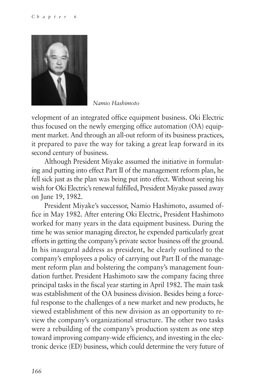

*Namio Hashimoto*

velopment of an integrated office equipment business. Oki Electric thus focused on the newly emerging office automation (OA) equipment market. And through an all-out reform of its business practices, it prepared to pave the way for taking a great leap forward in its second century of business.

Although President Miyake assumed the initiative in formulating and putting into effect Part II of the management reform plan, he fell sick just as the plan was being put into effect. Without seeing his wish for Oki Electric's renewal fulfilled, President Miyake passed away on June 19, 1982.

President Miyake's successor, Namio Hashimoto, assumed office in May 1982. After entering Oki Electric, President Hashimoto worked for many years in the data equipment business. During the time he was senior managing director, he expended particularly great efforts in getting the company's private sector business off the ground. In his inaugural address as president, he clearly outlined to the company's employees a policy of carrying out Part II of the management reform plan and bolstering the company's management foundation further. President Hashimoto saw the company facing three principal tasks in the fiscal year starting in April 1982. The main task was establishment of the OA business division. Besides being a forceful response to the challenges of a new market and new products, he viewed establishment of this new division as an opportunity to review the company's organizational structure. The other two tasks were a rebuilding of the company's production system as one step toward improving company-wide efficiency, and investing in the electronic device (ED) business, which could determine the very future of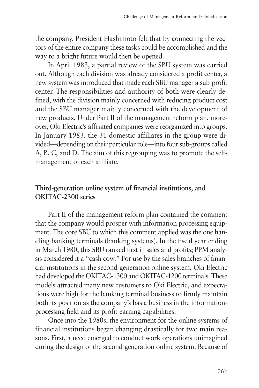the company. President Hashimoto felt that by connecting the vectors of the entire company these tasks could be accomplished and the way to a bright future would then be opened.

In April 1983, a partial review of the SBU system was carried out. Although each division was already considered a profit center, a new system was introduced that made each SBU manager a sub-profit center. The responsibilities and authority of both were clearly defined, with the division mainly concerned with reducing product cost and the SBU manager mainly concerned with the development of new products. Under Part II of the management reform plan, moreover, Oki Electric's affiliated companies were reorganized into groups. In January 1983, the 31 domestic affiliates in the group were divided—depending on their particular role—into four sub-groups called A, B, C, and D. The aim of this regrouping was to promote the selfmanagement of each affiliate.

## **Third-generation online system of financial institutions, and OKITAC-2300 series**

Part II of the management reform plan contained the comment that the company would prosper with information processing equipment. The core SBU to which this comment applied was the one handling banking terminals (banking systems). In the fiscal year ending in March 1980, this SBU ranked first in sales and profits; PPM analysis considered it a "cash cow." For use by the sales branches of financial institutions in the second-generation online system, Oki Electric had developed the OKITAC-1300 and OKITAC-1200 terminals. These models attracted many new customers to Oki Electric, and expectations were high for the banking terminal business to firmly maintain both its position as the company's basic business in the informationprocessing field and its profit-earning capabilities.

Once into the 1980s, the environment for the online systems of financial institutions began changing drastically for two main reasons. First, a need emerged to conduct work operations unimagined during the design of the second-generation online system. Because of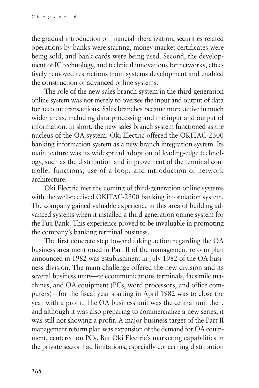the gradual introduction of financial liberalization, securities-related operations by banks were starting, money market certificates were being sold, and bank cards were being used. Second, the development of IC technology, and technical innovations for networks, effectively removed restrictions from systems development and enabled the construction of advanced online systems.

The role of the new sales branch system in the third-generation online system was not merely to oversee the input and output of data for account transactions. Sales branches became more active in much wider areas, including data processing and the input and output of information. In short, the new sales branch system functioned as the nucleus of the OA system. Oki Electric offered the OKITAC-2300 banking information system as a new branch integration system. Its main feature was its widespread adoption of leading-edge technology, such as the distribution and improvement of the terminal controller functions, use of a loop, and introduction of network architecture.

Oki Electric met the coming of third-generation online systems with the well-received OKITAC-2300 banking information system. The company gained valuable experience in this area of building advanced systems when it installed a third-generation online system for the Fuji Bank. This experience proved to be invaluable in promoting the company's banking terminal business.

The first concrete step toward taking action regarding the OA business area mentioned in Part II of the management reform plan announced in 1982 was establishment in July 1982 of the OA business division. The main challenge offered the new division and its several business units—telecommunications terminals, facsimile machines, and OA equipment (PCs, word processors, and office computers)—for the fiscal year starting in April 1982 was to close the year with a profit. The OA business unit was the central unit then, and although it was also preparing to commercialize a new series, it was still not showing a profit. A major business target of the Part II management reform plan was expansion of the demand for OA equipment, centered on PCs. But Oki Electric's marketing capabilities in the private sector had limitations, especially concerning distribution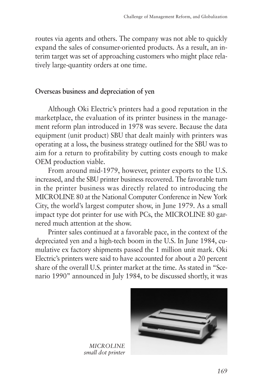routes via agents and others. The company was not able to quickly expand the sales of consumer-oriented products. As a result, an interim target was set of approaching customers who might place relatively large-quantity orders at one time.

### **Overseas business and depreciation of yen**

Although Oki Electric's printers had a good reputation in the marketplace, the evaluation of its printer business in the management reform plan introduced in 1978 was severe. Because the data equipment (unit product) SBU that dealt mainly with printers was operating at a loss, the business strategy outlined for the SBU was to aim for a return to profitability by cutting costs enough to make OEM production viable.

From around mid-1979, however, printer exports to the U.S. increased, and the SBU printer business recovered. The favorable turn in the printer business was directly related to introducing the MICROLINE 80 at the National Computer Conference in New York City, the world's largest computer show, in June 1979. As a small impact type dot printer for use with PCs, the MICROLINE 80 garnered much attention at the show.

Printer sales continued at a favorable pace, in the context of the depreciated yen and a high-tech boom in the U.S. In June 1984, cumulative ex factory shipments passed the 1 million unit mark. Oki Electric's printers were said to have accounted for about a 20 percent share of the overall U.S. printer market at the time. As stated in "Scenario 1990" announced in July 1984, to be discussed shortly, it was



*MICROLINE small dot printer*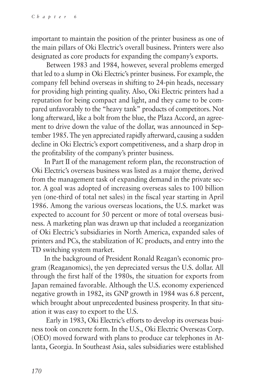important to maintain the position of the printer business as one of the main pillars of Oki Electric's overall business. Printers were also designated as core products for expanding the company's exports.

 Between 1983 and 1984, however, several problems emerged that led to a slump in Oki Electric's printer business. For example, the company fell behind overseas in shifting to 24-pin heads, necessary for providing high printing quality. Also, Oki Electric printers had a reputation for being compact and light, and they came to be compared unfavorably to the "heavy tank" products of competitors. Not long afterward, like a bolt from the blue, the Plaza Accord, an agreement to drive down the value of the dollar, was announced in September 1985. The yen appreciated rapidly afterward, causing a sudden decline in Oki Electric's export competitiveness, and a sharp drop in the profitability of the company's printer business.

In Part II of the management reform plan, the reconstruction of Oki Electric's overseas business was listed as a major theme, derived from the management task of expanding demand in the private sector. A goal was adopted of increasing overseas sales to 100 billion yen (one-third of total net sales) in the fiscal year starting in April 1986. Among the various overseas locations, the U.S. market was expected to account for 50 percent or more of total overseas business. A marketing plan was drawn up that included a reorganization of Oki Electric's subsidiaries in North America, expanded sales of printers and PCs, the stabilization of IC products, and entry into the TD switching system market.

In the background of President Ronald Reagan's economic program (Reaganomics), the yen depreciated versus the U.S. dollar. All through the first half of the 1980s, the situation for exports from Japan remained favorable. Although the U.S. economy experienced negative growth in 1982, its GNP growth in 1984 was 6.8 percent, which brought about unprecedented business prosperity. In that situation it was easy to export to the U.S.

 Early in 1983, Oki Electric's efforts to develop its overseas business took on concrete form. In the U.S., Oki Electric Overseas Corp. (OEO) moved forward with plans to produce car telephones in Atlanta, Georgia. In Southeast Asia, sales subsidiaries were established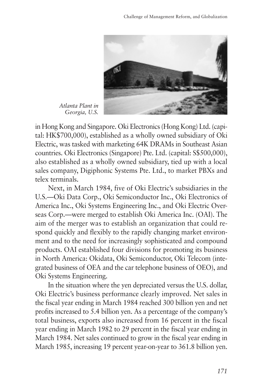

*Atlanta Plant in Georgia, U.S.*

in Hong Kong and Singapore. Oki Electronics (Hong Kong) Ltd. (capital: HK\$700,000), established as a wholly owned subsidiary of Oki Electric, was tasked with marketing 64K DRAMs in Southeast Asian countries. Oki Electronics (Singapore) Pte. Ltd. (capital: S\$500,000), also established as a wholly owned subsidiary, tied up with a local sales company, Digiphonic Systems Pte. Ltd., to market PBXs and telex terminals.

Next, in March 1984, five of Oki Electric's subsidiaries in the U.S.—Oki Data Corp., Oki Semiconductor Inc., Oki Electronics of America Inc., Oki Systems Engineering Inc., and Oki Electric Overseas Corp.—were merged to establish Oki America Inc. (OAI). The aim of the merger was to establish an organization that could respond quickly and flexibly to the rapidly changing market environment and to the need for increasingly sophisticated and compound products. OAI established four divisions for promoting its business in North America: Okidata, Oki Semiconductor, Oki Telecom (integrated business of OEA and the car telephone business of OEO), and Oki Systems Engineering.

In the situation where the yen depreciated versus the U.S. dollar, Oki Electric's business performance clearly improved. Net sales in the fiscal year ending in March 1984 reached 300 billion yen and net profits increased to 5.4 billion yen. As a percentage of the company's total business, exports also increased from 16 percent in the fiscal year ending in March 1982 to 29 percent in the fiscal year ending in March 1984. Net sales continued to grow in the fiscal year ending in March 1985, increasing 19 percent year-on-year to 361.8 billion yen.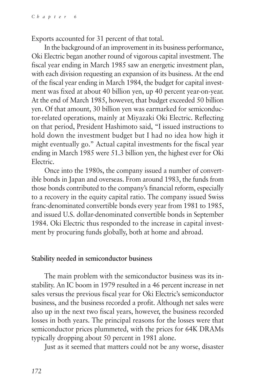Exports accounted for 31 percent of that total.

In the background of an improvement in its business performance, Oki Electric began another round of vigorous capital investment. The fiscal year ending in March 1985 saw an energetic investment plan, with each division requesting an expansion of its business. At the end of the fiscal year ending in March 1984, the budget for capital investment was fixed at about 40 billion yen, up 40 percent year-on-year. At the end of March 1985, however, that budget exceeded 50 billion yen. Of that amount, 30 billion yen was earmarked for semiconductor-related operations, mainly at Miyazaki Oki Electric. Reflecting on that period, President Hashimoto said, "I issued instructions to hold down the investment budget but I had no idea how high it might eventually go." Actual capital investments for the fiscal year ending in March 1985 were 51.3 billion yen, the highest ever for Oki Electric.

Once into the 1980s, the company issued a number of convertible bonds in Japan and overseas. From around 1983, the funds from those bonds contributed to the company's financial reform, especially to a recovery in the equity capital ratio. The company issued Swiss franc-denominated convertible bonds every year from 1981 to 1985, and issued U.S. dollar-denominated convertible bonds in September 1984. Oki Electric thus responded to the increase in capital investment by procuring funds globally, both at home and abroad.

#### **Stability needed in semiconductor business**

The main problem with the semiconductor business was its instability. An IC boom in 1979 resulted in a 46 percent increase in net sales versus the previous fiscal year for Oki Electric's semiconductor business, and the business recorded a profit. Although net sales were also up in the next two fiscal years, however, the business recorded losses in both years. The principal reasons for the losses were that semiconductor prices plummeted, with the prices for 64K DRAMs typically dropping about 50 percent in 1981 alone.

Just as it seemed that matters could not be any worse, disaster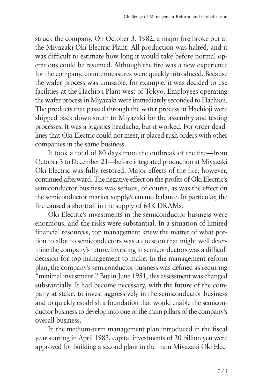struck the company. On October 3, 1982, a major fire broke out at the Miyazaki Oki Electric Plant. All production was halted, and it was difficult to estimate how long it would take before normal operations could be resumed. Although the fire was a new experience for the company, countermeasures were quickly introduced. Because the wafer process was unusable, for example, it was decided to use facilities at the Hachioji Plant west of Tokyo. Employees operating the wafer process in Miyazaki were immediately seconded to Hachioji. The products that passed through the wafer process in Hachioji were shipped back down south to Miyazaki for the assembly and testing processes. It was a logistics headache, but it worked. For order deadlines that Oki Electric could not meet, it placed rush orders with other companies in the same business.

It took a total of 80 days from the outbreak of the fire—from October 3 to December 21—before integrated production at Miyazaki Oki Electric was fully restored. Major effects of the fire, however, continued afterward. The negative effect on the profits of Oki Electric's semiconductor business was serious, of course, as was the effect on the semiconductor market supply/demand balance. In particular, the fire caused a shortfall in the supply of 64K DRAMs.

Oki Electric's investments in the semiconductor business were enormous, and the risks were substantial. In a situation of limited financial resources, top management knew the matter of what portion to allot to semiconductors was a question that might well determine the company's future. Investing in semiconductors was a difficult decision for top management to make. In the management reform plan, the company's semiconductor business was defined as requiring "minimal investment." But in June 1981, this assessment was changed substantially. It had become necessary, with the future of the company at stake, to invest aggressively in the semiconductor business and to quickly establish a foundation that would enable the semiconductor business to develop into one of the main pillars of the company's overall business.

In the medium-term management plan introduced in the fiscal year starting in April 1983, capital investments of 20 billion yen were approved for building a second plant in the main Miyazaki Oki Elec-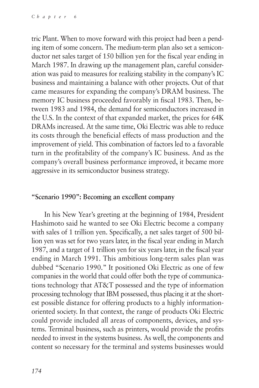tric Plant. When to move forward with this project had been a pending item of some concern. The medium-term plan also set a semiconductor net sales target of 150 billion yen for the fiscal year ending in March 1987. In drawing up the management plan, careful consideration was paid to measures for realizing stability in the company's IC business and maintaining a balance with other projects. Out of that came measures for expanding the company's DRAM business. The memory IC business proceeded favorably in fiscal 1983. Then, between 1983 and 1984, the demand for semiconductors increased in the U.S. In the context of that expanded market, the prices for 64K DRAMs increased. At the same time, Oki Electric was able to reduce its costs through the beneficial effects of mass production and the improvement of yield. This combination of factors led to a favorable turn in the profitability of the company's IC business. And as the company's overall business performance improved, it became more aggressive in its semiconductor business strategy.

#### **"Scenario 1990": Becoming an excellent company**

In his New Year's greeting at the beginning of 1984, President Hashimoto said he wanted to see Oki Electric become a company with sales of 1 trillion yen. Specifically, a net sales target of 500 billion yen was set for two years later, in the fiscal year ending in March 1987, and a target of 1 trillion yen for six years later, in the fiscal year ending in March 1991. This ambitious long-term sales plan was dubbed "Scenario 1990." It positioned Oki Electric as one of few companies in the world that could offer both the type of communications technology that AT&T possessed and the type of information processing technology that IBM possessed, thus placing it at the shortest possible distance for offering products to a highly informationoriented society. In that context, the range of products Oki Electric could provide included all areas of components, devices, and systems. Terminal business, such as printers, would provide the profits needed to invest in the systems business. As well, the components and content so necessary for the terminal and systems businesses would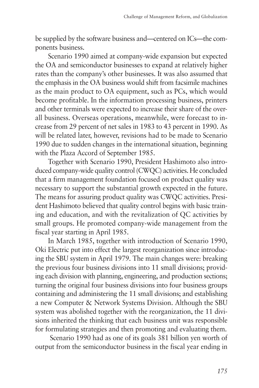be supplied by the software business and—centered on ICs—the components business.

Scenario 1990 aimed at company-wide expansion but expected the OA and semiconductor businesses to expand at relatively higher rates than the company's other businesses. It was also assumed that the emphasis in the OA business would shift from facsimile machines as the main product to OA equipment, such as PCs, which would become profitable. In the information processing business, printers and other terminals were expected to increase their share of the overall business. Overseas operations, meanwhile, were forecast to increase from 29 percent of net sales in 1983 to 43 percent in 1990. As will be related later, however, revisions had to be made to Scenario 1990 due to sudden changes in the international situation, beginning with the Plaza Accord of September 1985.

Together with Scenario 1990, President Hashimoto also introduced company-wide quality control (CWQC) activities. He concluded that a firm management foundation focused on product quality was necessary to support the substantial growth expected in the future. The means for assuring product quality was CWQC activities. President Hashimoto believed that quality control begins with basic training and education, and with the revitalization of QC activities by small groups. He promoted company-wide management from the fiscal year starting in April 1985.

In March 1985, together with introduction of Scenario 1990, Oki Electric put into effect the largest reorganization since introducing the SBU system in April 1979. The main changes were: breaking the previous four business divisions into 11 small divisions; providing each division with planning, engineering, and production sections; turning the original four business divisions into four business groups containing and administering the 11 small divisions; and establishing a new Computer & Network Systems Division. Although the SBU system was abolished together with the reorganization, the 11 divisions inherited the thinking that each business unit was responsible for formulating strategies and then promoting and evaluating them.

 Scenario 1990 had as one of its goals 381 billion yen worth of output from the semiconductor business in the fiscal year ending in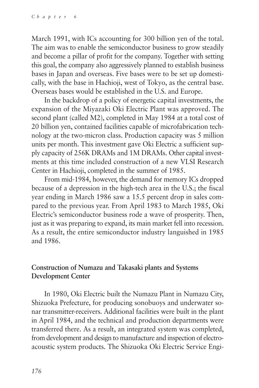March 1991, with ICs accounting for 300 billion yen of the total. The aim was to enable the semiconductor business to grow steadily and become a pillar of profit for the company. Together with setting this goal, the company also aggressively planned to establish business bases in Japan and overseas. Five bases were to be set up domestically, with the base in Hachioji, west of Tokyo, as the central base. Overseas bases would be established in the U.S. and Europe.

In the backdrop of a policy of energetic capital investments, the expansion of the Miyazaki Oki Electric Plant was approved. The second plant (called M2), completed in May 1984 at a total cost of 20 billion yen, contained facilities capable of microfabrication technology at the two-micron class. Production capacity was 5 million units per month. This investment gave Oki Electric a sufficient supply capacity of 256K DRAMs and 1M DRAMs. Other capital investments at this time included construction of a new VLSI Research Center in Hachioji, completed in the summer of 1985.

From mid-1984, however, the demand for memory ICs dropped because of a depression in the high-tech area in the U.S.; the fiscal year ending in March 1986 saw a 15.5 percent drop in sales compared to the previous year. From April 1983 to March 1985, Oki Electric's semiconductor business rode a wave of prosperity. Then, just as it was preparing to expand, its main market fell into recession. As a result, the entire semiconductor industry languished in 1985 and 1986.

## **Construction of Numazu and Takasaki plants and Systems Development Center**

In 1980, Oki Electric built the Numazu Plant in Numazu City, Shizuoka Prefecture, for producing sonobuoys and underwater sonar transmitter-receivers. Additional facilities were built in the plant in April 1984, and the technical and production departments were transferred there. As a result, an integrated system was completed, from development and design to manufacture and inspection of electroacoustic system products. The Shizuoka Oki Electric Service Engi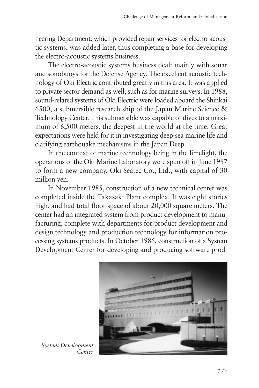neering Department, which provided repair services for electro-acoustic systems, was added later, thus completing a base for developing the electro-acoustic systems business.

The electro-acoustic systems business dealt mainly with sonar and sonobuoys for the Defense Agency. The excellent acoustic technology of Oki Electric contributed greatly in this area. It was applied to private sector demand as well, such as for marine surveys. In 1988, sound-related systems of Oki Electric were loaded aboard the Shinkai 6500, a submersible research ship of the Japan Marine Science & Technology Center. This submersible was capable of dives to a maximum of 6,500 meters, the deepest in the world at the time. Great expectations were held for it in investigating deep-sea marine life and clarifying earthquake mechanisms in the Japan Deep.

In the context of marine technology being in the limelight, the operations of the Oki Marine Laboratory were spun off in June 1987 to form a new company, Oki Seatec Co., Ltd., with capital of 30 million yen.

In November 1985, construction of a new technical center was completed inside the Takasaki Plant complex. It was eight stories high, and had total floor space of about 20,000 square meters. The center had an integrated system from product development to manufacturing, complete with departments for product development and design technology and production technology for information processing systems products. In October 1986, construction of a System Development Center for developing and producing software prod-



*System Development Center*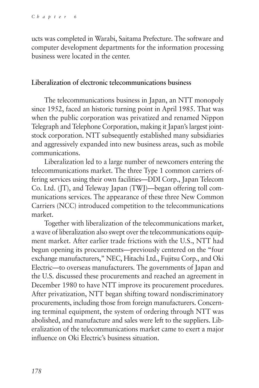ucts was completed in Warabi, Saitama Prefecture. The software and computer development departments for the information processing business were located in the center.

#### **Liberalization of electronic telecommunications business**

The telecommunications business in Japan, an NTT monopoly since 1952, faced an historic turning point in April 1985. That was when the public corporation was privatized and renamed Nippon Telegraph and Telephone Corporation, making it Japan's largest jointstock corporation. NTT subsequently established many subsidiaries and aggressively expanded into new business areas, such as mobile communications.

Liberalization led to a large number of newcomers entering the telecommunications market. The three Type 1 common carriers offering services using their own facilities—DDI Corp., Japan Telecom Co. Ltd. (JT), and Teleway Japan (TWJ)—began offering toll communications services. The appearance of these three New Common Carriers (NCC) introduced competition to the telecommunications market.

Together with liberalization of the telecommunications market, a wave of liberalization also swept over the telecommunications equipment market. After earlier trade frictions with the U.S., NTT had begun opening its procurements—previously centered on the "four exchange manufacturers," NEC, Hitachi Ltd., Fujitsu Corp., and Oki Electric—to overseas manufacturers. The governments of Japan and the U.S. discussed these procurements and reached an agreement in December 1980 to have NTT improve its procurement procedures. After privatization, NTT began shifting toward nondiscriminatory procurements, including those from foreign manufacturers. Concerning terminal equipment, the system of ordering through NTT was abolished, and manufacture and sales were left to the suppliers. Liberalization of the telecommunications market came to exert a major influence on Oki Electric's business situation.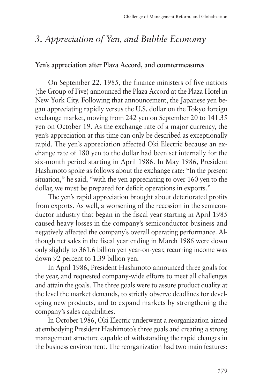# *3. Appreciation of Yen, and Bubble Economy*

#### **Yen's appreciation after Plaza Accord, and countermeasures**

On September 22, 1985, the finance ministers of five nations (the Group of Five) announced the Plaza Accord at the Plaza Hotel in New York City. Following that announcement, the Japanese yen began appreciating rapidly versus the U.S. dollar on the Tokyo foreign exchange market, moving from 242 yen on September 20 to 141.35 yen on October 19. As the exchange rate of a major currency, the yen's appreciation at this time can only be described as exceptionally rapid. The yen's appreciation affected Oki Electric because an exchange rate of 180 yen to the dollar had been set internally for the six-month period starting in April 1986. In May 1986, President Hashimoto spoke as follows about the exchange rate: "In the present situation," he said, "with the yen appreciating to over 160 yen to the dollar, we must be prepared for deficit operations in exports."

The yen's rapid appreciation brought about deteriorated profits from exports. As well, a worsening of the recession in the semiconductor industry that began in the fiscal year starting in April 1985 caused heavy losses in the company's semiconductor business and negatively affected the company's overall operating performance. Although net sales in the fiscal year ending in March 1986 were down only slightly to 361.6 billion yen year-on-year, recurring income was down 92 percent to 1.39 billion yen.

In April 1986, President Hashimoto announced three goals for the year, and requested company-wide efforts to meet all challenges and attain the goals. The three goals were to assure product quality at the level the market demands, to strictly observe deadlines for developing new products, and to expand markets by strengthening the company's sales capabilities.

In October 1986, Oki Electric underwent a reorganization aimed at embodying President Hashimoto's three goals and creating a strong management structure capable of withstanding the rapid changes in the business environment. The reorganization had two main features: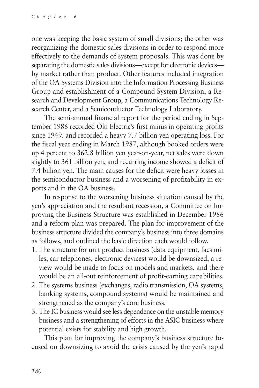one was keeping the basic system of small divisions; the other was reorganizing the domestic sales divisions in order to respond more effectively to the demands of system proposals. This was done by separating the domestic sales divisions—except for electronic devices by market rather than product. Other features included integration of the OA Systems Division into the Information Processing Business Group and establishment of a Compound System Division, a Research and Development Group, a Communications Technology Research Center, and a Semiconductor Technology Laboratory.

The semi-annual financial report for the period ending in September 1986 recorded Oki Electric's first minus in operating profits since 1949, and recorded a heavy 7.7 billion yen operating loss. For the fiscal year ending in March 1987, although booked orders were up 4 percent to 362.8 billion yen year-on-year, net sales were down slightly to 361 billion yen, and recurring income showed a deficit of 7.4 billion yen. The main causes for the deficit were heavy losses in the semiconductor business and a worsening of profitability in exports and in the OA business.

In response to the worsening business situation caused by the yen's appreciation and the resultant recession, a Committee on Improving the Business Structure was established in December 1986 and a reform plan was prepared. The plan for improvement of the business structure divided the company's business into three domains as follows, and outlined the basic direction each would follow.

- 1. The structure for unit product business (data equipment, facsimiles, car telephones, electronic devices) would be downsized, a review would be made to focus on models and markets, and there would be an all-out reinforcement of profit-earning capabilities.
- 2. The systems business (exchanges, radio transmission, OA systems, banking systems, compound systems) would be maintained and strengthened as the company's core business.
- 3. The IC business would see less dependence on the unstable memory business and a strengthening of efforts in the ASIC business where potential exists for stability and high growth.

This plan for improving the company's business structure focused on downsizing to avoid the crisis caused by the yen's rapid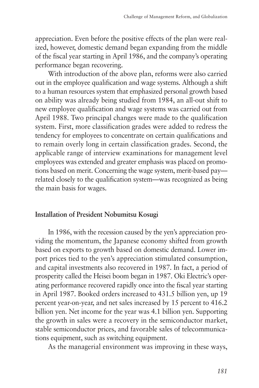appreciation. Even before the positive effects of the plan were realized, however, domestic demand began expanding from the middle of the fiscal year starting in April 1986, and the company's operating performance began recovering.

With introduction of the above plan, reforms were also carried out in the employee qualification and wage systems. Although a shift to a human resources system that emphasized personal growth based on ability was already being studied from 1984, an all-out shift to new employee qualification and wage systems was carried out from April 1988. Two principal changes were made to the qualification system. First, more classification grades were added to redress the tendency for employees to concentrate on certain qualifications and to remain overly long in certain classification grades. Second, the applicable range of interview examinations for management level employees was extended and greater emphasis was placed on promotions based on merit. Concerning the wage system, merit-based pay related closely to the qualification system—was recognized as being the main basis for wages.

#### **Installation of President Nobumitsu Kosugi**

In 1986, with the recession caused by the yen's appreciation providing the momentum, the Japanese economy shifted from growth based on exports to growth based on domestic demand. Lower import prices tied to the yen's appreciation stimulated consumption, and capital investments also recovered in 1987. In fact, a period of prosperity called the Heisei boom began in 1987. Oki Electric's operating performance recovered rapidly once into the fiscal year starting in April 1987. Booked orders increased to 431.5 billion yen, up 19 percent year-on-year, and net sales increased by 15 percent to 416.2 billion yen. Net income for the year was 4.1 billion yen. Supporting the growth in sales were a recovery in the semiconductor market, stable semiconductor prices, and favorable sales of telecommunications equipment, such as switching equipment.

As the managerial environment was improving in these ways,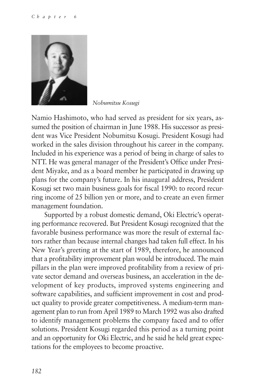

*Nobumitsu Kosugi*

Namio Hashimoto, who had served as president for six years, assumed the position of chairman in June 1988. His successor as president was Vice President Nobumitsu Kosugi. President Kosugi had worked in the sales division throughout his career in the company. Included in his experience was a period of being in charge of sales to NTT. He was general manager of the President's Office under President Miyake, and as a board member he participated in drawing up plans for the company's future. In his inaugural address, President Kosugi set two main business goals for fiscal 1990: to record recurring income of 25 billion yen or more, and to create an even firmer management foundation.

Supported by a robust domestic demand, Oki Electric's operating performance recovered. But President Kosugi recognized that the favorable business performance was more the result of external factors rather than because internal changes had taken full effect. In his New Year's greeting at the start of 1989, therefore, he announced that a profitability improvement plan would be introduced. The main pillars in the plan were improved profitability from a review of private sector demand and overseas business, an acceleration in the development of key products, improved systems engineering and software capabilities, and sufficient improvement in cost and product quality to provide greater competitiveness. A medium-term management plan to run from April 1989 to March 1992 was also drafted to identify management problems the company faced and to offer solutions. President Kosugi regarded this period as a turning point and an opportunity for Oki Electric, and he said he held great expectations for the employees to become proactive.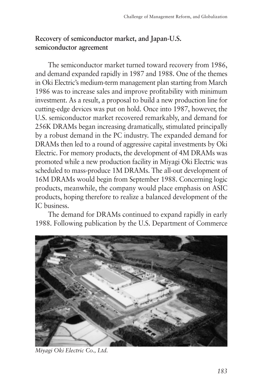## **Recovery of semiconductor market, and Japan-U.S. semiconductor agreement**

The semiconductor market turned toward recovery from 1986, and demand expanded rapidly in 1987 and 1988. One of the themes in Oki Electric's medium-term management plan starting from March 1986 was to increase sales and improve profitability with minimum investment. As a result, a proposal to build a new production line for cutting-edge devices was put on hold. Once into 1987, however, the U.S. semiconductor market recovered remarkably, and demand for 256K DRAMs began increasing dramatically, stimulated principally by a robust demand in the PC industry. The expanded demand for DRAMs then led to a round of aggressive capital investments by Oki Electric. For memory products, the development of 4M DRAMs was promoted while a new production facility in Miyagi Oki Electric was scheduled to mass-produce 1M DRAMs. The all-out development of 16M DRAMs would begin from September 1988. Concerning logic products, meanwhile, the company would place emphasis on ASIC products, hoping therefore to realize a balanced development of the IC business.

The demand for DRAMs continued to expand rapidly in early 1988. Following publication by the U.S. Department of Commerce



*Miyagi Oki Electric Co., Ltd.*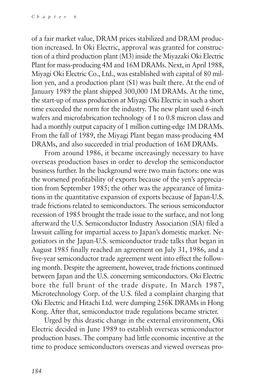of a fair market value, DRAM prices stabilized and DRAM production increased. In Oki Electric, approval was granted for construction of a third production plant (M3) inside the Miyazaki Oki Electric Plant for mass-producing 4M and 16M DRAMs. Next, in April 1988, Miyagi Oki Electric Co., Ltd., was established with capital of 80 million yen, and a production plant (S1) was built there. At the end of January 1989 the plant shipped 300,000 1M DRAMs. At the time, the start-up of mass production at Miyagi Oki Electric in such a short time exceeded the norm for the industry. The new plant used 6-inch wafers and microfabrication technology of 1 to 0.8 micron class and had a monthly output capacity of 1 million cutting-edge 1M DRAMs. From the fall of 1989, the Miyagi Plant began mass-producing 4M DRAMs, and also succeeded in trial production of 16M DRAMs.

From around 1986, it became increasingly necessary to have overseas production bases in order to develop the semiconductor business further. In the background were two main factors: one was the worsened profitability of exports because of the yen's appreciation from September 1985; the other was the appearance of limitations in the quantitative expansion of exports because of Japan-U.S. trade frictions related to semiconductors. The serious semiconductor recession of 1985 brought the trade issue to the surface, and not long afterward the U.S. Semiconductor Industry Association (SIA) filed a lawsuit calling for impartial access to Japan's domestic market. Negotiators in the Japan-U.S. semiconductor trade talks that began in August 1985 finally reached an agreement on July 31, 1986, and a five-year semiconductor trade agreement went into effect the following month. Despite the agreement, however, trade frictions continued between Japan and the U.S. concerning semiconductors. Oki Electric bore the full brunt of the trade dispute. In March 1987, Microtechnology Corp. of the U.S. filed a complaint charging that Oki Electric and Hitachi Ltd. were dumping 256K DRAMs in Hong Kong. After that, semiconductor trade regulations became stricter.

Urged by this drastic change in the external environment, Oki Electric decided in June 1989 to establish overseas semiconductor production bases. The company had little economic incentive at the time to produce semiconductors overseas and viewed overseas pro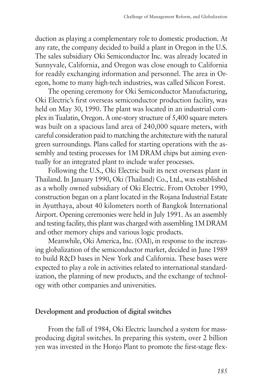duction as playing a complementary role to domestic production. At any rate, the company decided to build a plant in Oregon in the U.S. The sales subsidiary Oki Semiconductor Inc. was already located in Sunnyvale, California, and Oregon was close enough to California for readily exchanging information and personnel. The area in Oregon, home to many high-tech industries, was called Silicon Forest.

The opening ceremony for Oki Semiconductor Manufacturing, Oki Electric's first overseas semiconductor production facility, was held on May 30, 1990. The plant was located in an industrial complex in Tualatin, Oregon. A one-story structure of 5,400 square meters was built on a spacious land area of 240,000 square meters, with careful consideration paid to matching the architecture with the natural green surroundings. Plans called for starting operations with the assembly and testing processes for 1M DRAM chips but aiming eventually for an integrated plant to include wafer processes.

Following the U.S., Oki Electric built its next overseas plant in Thailand. In January 1990, Oki (Thailand) Co., Ltd., was established as a wholly owned subsidiary of Oki Electric. From October 1990, construction began on a plant located in the Rojana Industrial Estate in Ayutthaya, about 40 kilometers north of Bangkok International Airport. Opening ceremonies were held in July 1991. As an assembly and testing facility, this plant was charged with assembling 1M DRAM and other memory chips and various logic products.

Meanwhile, Oki America, Inc. (OAI), in response to the increasing globalization of the semiconductor market, decided in June 1989 to build R&D bases in New York and California. These bases were expected to play a role in activities related to international standardization, the planning of new products, and the exchange of technology with other companies and universities.

## **Development and production of digital switches**

From the fall of 1984, Oki Electric launched a system for massproducing digital switches. In preparing this system, over 2 billion yen was invested in the Honjo Plant to promote the first-stage flex-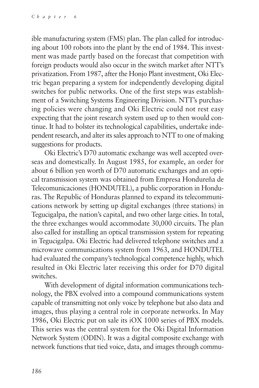ible manufacturing system (FMS) plan. The plan called for introducing about 100 robots into the plant by the end of 1984. This investment was made partly based on the forecast that competition with foreign products would also occur in the switch market after NTT's privatization. From 1987, after the Honjo Plant investment, Oki Electric began preparing a system for independently developing digital switches for public networks. One of the first steps was establishment of a Switching Systems Engineering Division. NTT's purchasing policies were changing and Oki Electric could not rest easy expecting that the joint research system used up to then would continue. It had to bolster its technological capabilities, undertake independent research, and alter its sales approach to NTT to one of making suggestions for products.

Oki Electric's D70 automatic exchange was well accepted overseas and domestically. In August 1985, for example, an order for about 6 billion yen worth of D70 automatic exchanges and an optical transmission system was obtained from Empresa Hondureña de Telecomunicaciones (HONDUTEL), a public corporation in Honduras. The Republic of Honduras planned to expand its telecommunications network by setting up digital exchanges (three stations) in Tegucigalpa, the nation's capital, and two other large cities. In total, the three exchanges would accommodate 30,000 circuits. The plan also called for installing an optical transmission system for repeating in Tegucigalpa. Oki Electric had delivered telephone switches and a microwave communications system from 1963, and HONDUTEL had evaluated the company's technological competence highly, which resulted in Oki Electric later receiving this order for D70 digital switches.

With development of digital information communications technology, the PBX evolved into a compound communications system capable of transmitting not only voice by telephone but also data and images, thus playing a central role in corporate networks. In May 1986, Oki Electric put on sale its iOX 1000 series of PBX models. This series was the central system for the Oki Digital Information Network System (ODIN). It was a digital composite exchange with network functions that tied voice, data, and images through commu-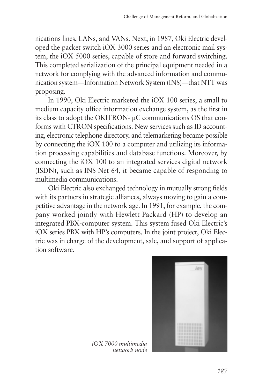nications lines, LANs, and VANs. Next, in 1987, Oki Electric developed the packet switch iOX 3000 series and an electronic mail system, the iOX 5000 series, capable of store and forward switching. This completed serialization of the principal equipment needed in a network for complying with the advanced information and communication system—Information Network System (INS)—that NTT was proposing.

In 1990, Oki Electric marketed the iOX 100 series, a small to medium capacity office information exchange system, as the first in its class to adopt the OKITRON- µC communications OS that conforms with CTRON specifications. New services such as ID accounting, electronic telephone directory, and telemarketing became possible by connecting the iOX 100 to a computer and utilizing its information processing capabilities and database functions. Moreover, by connecting the iOX 100 to an integrated services digital network (ISDN), such as INS Net 64, it became capable of responding to multimedia communications.

Oki Electric also exchanged technology in mutually strong fields with its partners in strategic alliances, always moving to gain a competitive advantage in the network age. In 1991, for example, the company worked jointly with Hewlett Packard (HP) to develop an integrated PBX-computer system. This system fused Oki Electric's iOX series PBX with HP's computers. In the joint project, Oki Electric was in charge of the development, sale, and support of application software.



*iOX 7000 multimedia network node*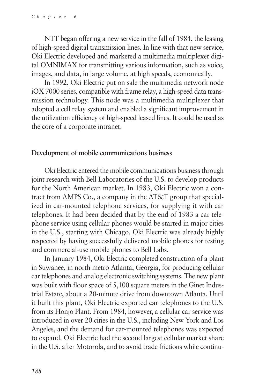NTT began offering a new service in the fall of 1984, the leasing of high-speed digital transmission lines. In line with that new service, Oki Electric developed and marketed a multimedia multiplexer digital OMNIMAX for transmitting various information, such as voice, images, and data, in large volume, at high speeds, economically.

In 1992, Oki Electric put on sale the multimedia network node iOX 7000 series, compatible with frame relay, a high-speed data transmission technology. This node was a multimedia multiplexer that adopted a cell relay system and enabled a significant improvement in the utilization efficiency of high-speed leased lines. It could be used as the core of a corporate intranet.

#### **Development of mobile communications business**

Oki Electric entered the mobile communications business through joint research with Bell Laboratories of the U.S. to develop products for the North American market. In 1983, Oki Electric won a contract from AMPS Co., a company in the AT&T group that specialized in car-mounted telephone services, for supplying it with car telephones. It had been decided that by the end of 1983 a car telephone service using cellular phones would be started in major cities in the U.S., starting with Chicago. Oki Electric was already highly respected by having successfully delivered mobile phones for testing and commercial-use mobile phones to Bell Labs.

In January 1984, Oki Electric completed construction of a plant in Suwanee, in north metro Atlanta, Georgia, for producing cellular car telephones and analog electronic switching systems. The new plant was built with floor space of 5,100 square meters in the Ginet Industrial Estate, about a 20-minute drive from downtown Atlanta. Until it built this plant, Oki Electric exported car telephones to the U.S. from its Honjo Plant. From 1984, however, a cellular car service was introduced in over 20 cities in the U.S., including New York and Los Angeles, and the demand for car-mounted telephones was expected to expand. Oki Electric had the second largest cellular market share in the U.S. after Motorola, and to avoid trade frictions while continu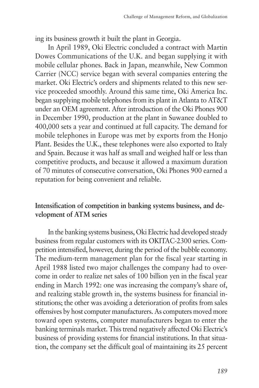ing its business growth it built the plant in Georgia.

In April 1989, Oki Electric concluded a contract with Martin Dowes Communications of the U.K. and began supplying it with mobile cellular phones. Back in Japan, meanwhile, New Common Carrier (NCC) service began with several companies entering the market. Oki Electric's orders and shipments related to this new service proceeded smoothly. Around this same time, Oki America Inc. began supplying mobile telephones from its plant in Atlanta to AT&T under an OEM agreement. After introduction of the Oki Phones 900 in December 1990, production at the plant in Suwanee doubled to 400,000 sets a year and continued at full capacity. The demand for mobile telephones in Europe was met by exports from the Honjo Plant. Besides the U.K., these telephones were also exported to Italy and Spain. Because it was half as small and weighed half or less than competitive products, and because it allowed a maximum duration of 70 minutes of consecutive conversation, Oki Phones 900 earned a reputation for being convenient and reliable.

## **Intensification of competition in banking systems business, and development of ATM series**

In the banking systems business, Oki Electric had developed steady business from regular customers with its OKITAC-2300 series. Competition intensified, however, during the period of the bubble economy. The medium-term management plan for the fiscal year starting in April 1988 listed two major challenges the company had to overcome in order to realize net sales of 100 billion yen in the fiscal year ending in March 1992: one was increasing the company's share of, and realizing stable growth in, the systems business for financial institutions; the other was avoiding a deterioration of profits from sales offensives by host computer manufacturers. As computers moved more toward open systems, computer manufacturers began to enter the banking terminals market. This trend negatively affected Oki Electric's business of providing systems for financial institutions. In that situation, the company set the difficult goal of maintaining its 25 percent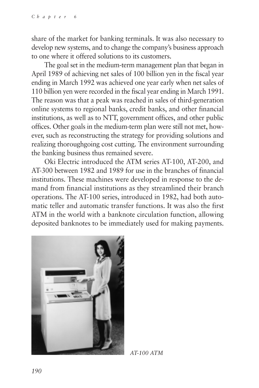share of the market for banking terminals. It was also necessary to develop new systems, and to change the company's business approach to one where it offered solutions to its customers.

The goal set in the medium-term management plan that began in April 1989 of achieving net sales of 100 billion yen in the fiscal year ending in March 1992 was achieved one year early when net sales of 110 billion yen were recorded in the fiscal year ending in March 1991. The reason was that a peak was reached in sales of third-generation online systems to regional banks, credit banks, and other financial institutions, as well as to NTT, government offices, and other public offices. Other goals in the medium-term plan were still not met, however, such as reconstructing the strategy for providing solutions and realizing thoroughgoing cost cutting. The environment surrounding the banking business thus remained severe.

Oki Electric introduced the ATM series AT-100, AT-200, and AT-300 between 1982 and 1989 for use in the branches of financial institutions. These machines were developed in response to the demand from financial institutions as they streamlined their branch operations. The AT-100 series, introduced in 1982, had both automatic teller and automatic transfer functions. It was also the first ATM in the world with a banknote circulation function, allowing deposited banknotes to be immediately used for making payments.



*AT-100 ATM*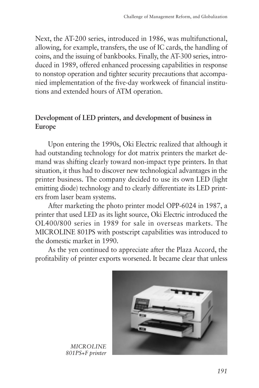Next, the AT-200 series, introduced in 1986, was multifunctional, allowing, for example, transfers, the use of IC cards, the handling of coins, and the issuing of bankbooks. Finally, the AT-300 series, introduced in 1989, offered enhanced processing capabilities in response to nonstop operation and tighter security precautions that accompanied implementation of the five-day workweek of financial institutions and extended hours of ATM operation.

## **Development of LED printers, and development of business in Europe**

Upon entering the 1990s, Oki Electric realized that although it had outstanding technology for dot matrix printers the market demand was shifting clearly toward non-impact type printers. In that situation, it thus had to discover new technological advantages in the printer business. The company decided to use its own LED (light emitting diode) technology and to clearly differentiate its LED printers from laser beam systems.

After marketing the photo printer model OPP-6024 in 1987, a printer that used LED as its light source, Oki Electric introduced the OL400/800 series in 1989 for sale in overseas markets. The MICROLINE 801PS with postscript capabilities was introduced to the domestic market in 1990.

As the yen continued to appreciate after the Plaza Accord, the profitability of printer exports worsened. It became clear that unless



*MICROLINE 801PS+F printer*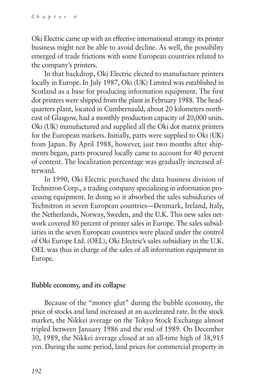Oki Electric came up with an effective international strategy its printer business might not be able to avoid decline. As well, the possibility emerged of trade frictions with some European countries related to the company's printers.

In that backdrop, Oki Electric elected to manufacture printers locally in Europe. In July 1987, Oki (UK) Limited was established in Scotland as a base for producing information equipment. The first dot printers were shipped from the plant in February 1988. The headquarters plant, located in Cumbernauld, about 20 kilometers northeast of Glasgow, had a monthly production capacity of 20,000 units. Oki (UK) manufactured and supplied all the Oki dot matrix printers for the European markets. Initially, parts were supplied to Oki (UK) from Japan. By April 1988, however, just two months after shipments began, parts procured locally came to account for 40 percent of content. The localization percentage was gradually increased afterward.

In 1990, Oki Electric purchased the data business division of Technitron Corp., a trading company specializing in information processing equipment. In doing so it absorbed the sales subsidiaries of Technitron in seven European countries—Denmark, Ireland, Italy, the Netherlands, Norway, Sweden, and the U.K. This new sales network covered 80 percent of printer sales in Europe. The sales subsidiaries in the seven European countries were placed under the control of Oki Europe Ltd. (OEL), Oki Electric's sales subsidiary in the U.K. OEL was thus in charge of the sales of all information equipment in Europe.

## **Bubble economy, and its collapse**

Because of the "money glut" during the bubble economy, the price of stocks and land increased at an accelerated rate. In the stock market, the Nikkei average on the Tokyo Stock Exchange almost tripled between January 1986 and the end of 1989. On December 30, 1989, the Nikkei average closed at an all-time high of 38,915 yen. During the same period, land prices for commercial property in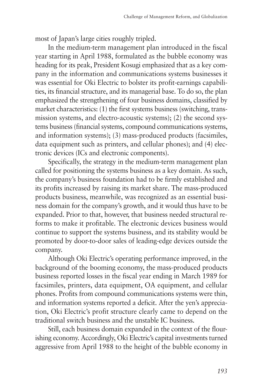most of Japan's large cities roughly tripled.

In the medium-term management plan introduced in the fiscal year starting in April 1988, formulated as the bubble economy was heading for its peak, President Kosugi emphasized that as a key company in the information and communications systems businesses it was essential for Oki Electric to bolster its profit-earnings capabilities, its financial structure, and its managerial base. To do so, the plan emphasized the strengthening of four business domains, classified by market characteristics: (1) the first systems business (switching, transmission systems, and electro-acoustic systems); (2) the second systems business (financial systems, compound communications systems, and information systems); (3) mass-produced products (facsimiles, data equipment such as printers, and cellular phones); and (4) electronic devices (ICs and electronic components).

Specifically, the strategy in the medium-term management plan called for positioning the systems business as a key domain. As such, the company's business foundation had to be firmly established and its profits increased by raising its market share. The mass-produced products business, meanwhile, was recognized as an essential business domain for the company's growth, and it would thus have to be expanded. Prior to that, however, that business needed structural reforms to make it profitable. The electronic devices business would continue to support the systems business, and its stability would be promoted by door-to-door sales of leading-edge devices outside the company.

Although Oki Electric's operating performance improved, in the background of the booming economy, the mass-produced products business reported losses in the fiscal year ending in March 1989 for facsimiles, printers, data equipment, OA equipment, and cellular phones. Profits from compound communications systems were thin, and information systems reported a deficit. After the yen's appreciation, Oki Electric's profit structure clearly came to depend on the traditional switch business and the unstable IC business.

Still, each business domain expanded in the context of the flourishing economy. Accordingly, Oki Electric's capital investments turned aggressive from April 1988 to the height of the bubble economy in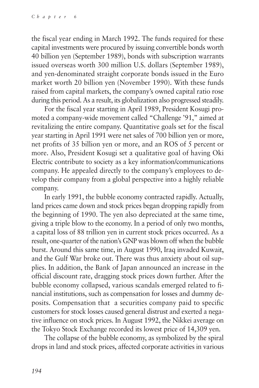the fiscal year ending in March 1992. The funds required for these capital investments were procured by issuing convertible bonds worth 40 billion yen (September 1989), bonds with subscription warrants issued overseas worth 300 million U.S. dollars (September 1989), and yen-denominated straight corporate bonds issued in the Euro market worth 20 billion yen (November 1990). With these funds raised from capital markets, the company's owned capital ratio rose during this period. As a result, its globalization also progressed steadily.

For the fiscal year starting in April 1989, President Kosugi promoted a company-wide movement called "Challenge '91," aimed at revitalizing the entire company. Quantitative goals set for the fiscal year starting in April 1991 were net sales of 700 billion yen or more, net profits of 35 billion yen or more, and an ROS of 5 percent or more. Also, President Kosugi set a qualitative goal of having Oki Electric contribute to society as a key information/communications company. He appealed directly to the company's employees to develop their company from a global perspective into a highly reliable company.

In early 1991, the bubble economy contracted rapidly. Actually, land prices came down and stock prices began dropping rapidly from the beginning of 1990. The yen also depreciated at the same time, giving a triple blow to the economy. In a period of only two months, a capital loss of 88 trillion yen in current stock prices occurred. As a result, one-quarter of the nation's GNP was blown off when the bubble burst. Around this same time, in August 1990, Iraq invaded Kuwait, and the Gulf War broke out. There was thus anxiety about oil supplies. In addition, the Bank of Japan announced an increase in the official discount rate, dragging stock prices down further. After the bubble economy collapsed, various scandals emerged related to financial institutions, such as compensation for losses and dummy deposits. Compensation that a securities company paid to specific customers for stock losses caused general distrust and exerted a negative influence on stock prices. In August 1992, the Nikkei average on the Tokyo Stock Exchange recorded its lowest price of 14,309 yen.

The collapse of the bubble economy, as symbolized by the spiral drops in land and stock prices, affected corporate activities in various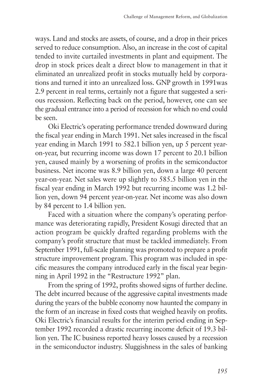ways. Land and stocks are assets, of course, and a drop in their prices served to reduce consumption. Also, an increase in the cost of capital tended to invite curtailed investments in plant and equipment. The drop in stock prices dealt a direct blow to management in that it eliminated an unrealized profit in stocks mutually held by corporations and turned it into an unrealized loss. GNP growth in 1991was 2.9 percent in real terms, certainly not a figure that suggested a serious recession. Reflecting back on the period, however, one can see the gradual entrance into a period of recession for which no end could be seen.

Oki Electric's operating performance trended downward during the fiscal year ending in March 1991. Net sales increased in the fiscal year ending in March 1991 to 582.1 billion yen, up 5 percent yearon-year, but recurring income was down 17 percent to 20.1 billion yen, caused mainly by a worsening of profits in the semiconductor business. Net income was 8.9 billion yen, down a large 40 percent year-on-year. Net sales were up slightly to 585.5 billion yen in the fiscal year ending in March 1992 but recurring income was 1.2 billion yen, down 94 percent year-on-year. Net income was also down by 84 percent to 1.4 billion yen.

Faced with a situation where the company's operating performance was deteriorating rapidly, President Kosugi directed that an action program be quickly drafted regarding problems with the company's profit structure that must be tackled immediately. From September 1991, full-scale planning was promoted to prepare a profit structure improvement program. This program was included in specific measures the company introduced early in the fiscal year beginning in April 1992 in the "Restructure 1992" plan.

From the spring of 1992, profits showed signs of further decline. The debt incurred because of the aggressive capital investments made during the years of the bubble economy now haunted the company in the form of an increase in fixed costs that weighed heavily on profits. Oki Electric's financial results for the interim period ending in September 1992 recorded a drastic recurring income deficit of 19.3 billion yen. The IC business reported heavy losses caused by a recession in the semiconductor industry. Sluggishness in the sales of banking